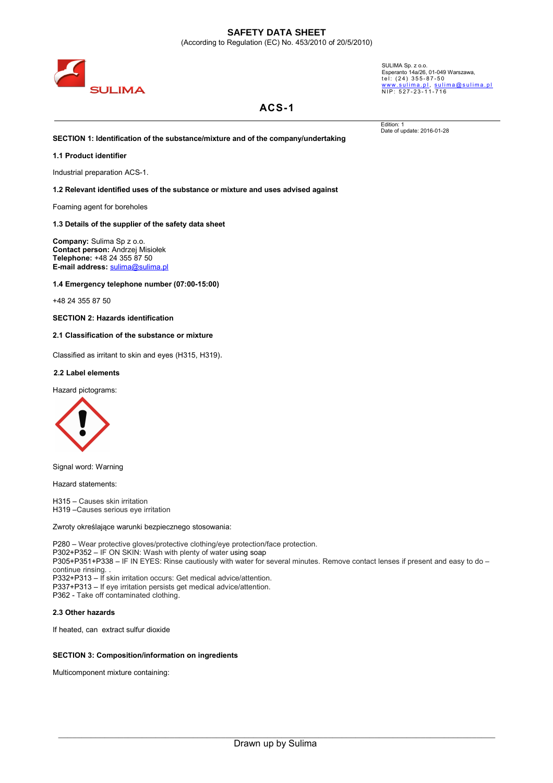

SULIMA Sp. z o.o.<br>Esperanto 14a/26, 01-049 Warszawa,<br>te1: (24) 3 5 5 - 8 7 - 5 0 <u>www.sulima.pl, sulima@sulima.pl</u><br>NIP: 527-23-11-716

Edition: 1 Date of update: 2016-01-28

# **ACS-1**

**SECTION 1: Identification of the substance/mixture and of the company/undertaking**

### **1.1 Product identifier**

Industrial preparation ACS-1.

**1.2 Relevant identified uses of the substance or mixture and uses advised against**

Foaming agent for boreholes

#### **1.3 Details of the supplier of the safety data sheet**

**Company:** Sulima Sp z o.o. **Contact person:** Andrzej Misiołek **Telephone:** +48 24 355 87 50 **E-mail address:** [sulima@sulima.pl](mailto:sulima@sulima.pl)

**1.4 Emergency telephone number (07:00-15:00)**

+48 24 355 87 50

**SECTION 2: Hazards identification**

**2.1 Classification of the substance or mixture**

Classified as irritant to skin and eyes (H315, H319)**.**

#### **2.2 Label elements**

Hazard pictograms:



Signal word: Warning

Hazard statements:

H315 – Causes skin irritation H319 –Causes serious eye irritation

Zwroty określające warunki bezpiecznego stosowania:

P280 – Wear protective gloves/protective clothing/eye protection/face protection. P302+P352 – IF ON SKIN: Wash with plenty of water using soap P305+P351+P338 – IF IN EYES: Rinse cautiously with water for several minutes. Remove contact lenses if present and easy to do – continue rinsing. . P332+P313 – If skin irritation occurs: Get medical advice/attention. P337+P313 – If eye irritation persists get medical advice/attention. P362 - Take off contaminated clothing.

#### **2.3 Other hazards**

If heated, can extract sulfur dioxide

## **SECTION 3: Composition/information on ingredients**

Multicomponent mixture containing: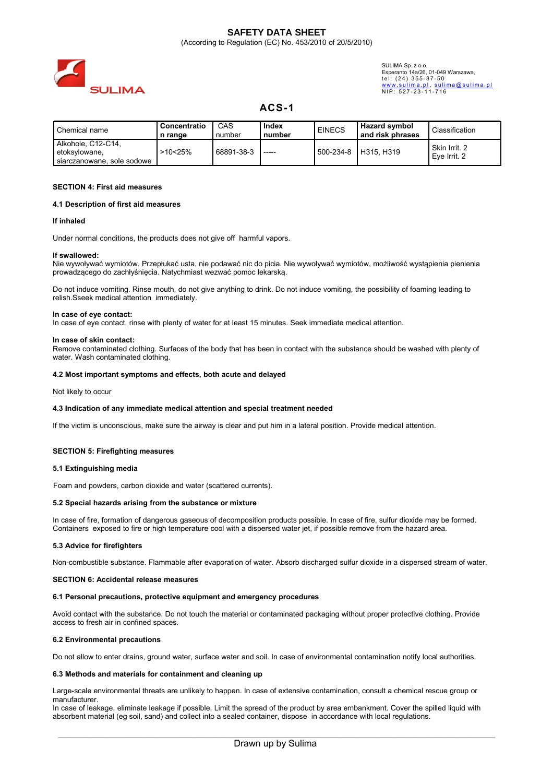

SULIMA Sp. z o.o. Esperanto 14a/26, 01-049 Warszawa, tel: (24) 355-87-50 <u>www.sulima.pl, sulima@sulima.pl</u><br>NIP: 527-23-11-716

# **ACS-1**

| l Chemical name                     | Concentratio | CAS        | Index  | <b>EINECS</b> | <b>Hazard symbol</b> |                |
|-------------------------------------|--------------|------------|--------|---------------|----------------------|----------------|
|                                     | n range      | number     | number |               | and risk phrases     | Classification |
| Alkohole, C12-C14,<br>etoksylowane, | >10<25%      | 68891-38-3 | -----  | 500-234-8     | H315, H319           | Skin Irrit, 2  |
| siarczanowane, sole sodowe          |              |            |        |               |                      | Eve Irrit, 2   |

### **SECTION 4: First aid measures**

#### **4.1 Description of first aid measures**

#### **If inhaled**

Under normal conditions, the products does not give off harmful vapors.

#### **If swallowed:**

Nie wywoływać wymiotów. Przepłukać usta, nie podawać nic do picia. Nie wywoływać wymiotów, możliwość wystąpienia pienienia prowadzącego do zachłyśnięcia. Natychmiast wezwać pomoc lekarską.

Do not induce vomiting. Rinse mouth, do not give anything to drink. Do not induce vomiting, the possibility of foaming leading to relish.Sseek medical attention immediately.

#### **In case of eye contact:**

In case of eye contact, rinse with plenty of water for at least 15 minutes. Seek immediate medical attention.

#### **In case of skin contact:**

Remove contaminated clothing. Surfaces of the body that has been in contact with the substance should be washed with plenty of water. Wash contaminated clothing.

#### **4.2 Most important symptoms and effects, both acute and delayed**

Not likely to occur

#### **4.3 Indication of any immediate medical attention and special treatment needed**

If the victim is unconscious, make sure the airway is clear and put him in a lateral position. Provide medical attention.

## **SECTION 5: Firefighting measures**

## **5.1 Extinguishing media**

Foam and powders, carbon dioxide and water (scattered currents).

## **5.2 Special hazards arising from the substance or mixture**

In case of fire, formation of dangerous gaseous of decomposition products possible. In case of fire, sulfur dioxide may be formed. Containers exposed to fire or high temperature cool with a dispersed water jet, if possible remove from the hazard area.

## **5.3 Advice for firefighters**

Non-combustible substance. Flammable after evaporation of water. Absorb discharged sulfur dioxide in a dispersed stream of water.

#### **SECTION 6: Accidental release measures**

#### **6.1 Personal precautions, protective equipment and emergency procedures**

Avoid contact with the substance. Do not touch the material or contaminated packaging without proper protective clothing. Provide access to fresh air in confined spaces.

#### **6.2 Environmental precautions**

Do not allow to enter drains, ground water, surface water and soil. In case of environmental contamination notify local authorities.

#### **6.3 Methods and materials for containment and cleaning up**

Large-scale environmental threats are unlikely to happen. In case of extensive contamination, consult a chemical rescue group or manufacturer.

In case of leakage, eliminate leakage if possible. Limit the spread of the product by area embankment. Cover the spilled liquid with absorbent material (eg soil, sand) and collect into a sealed container, dispose in accordance with local regulations.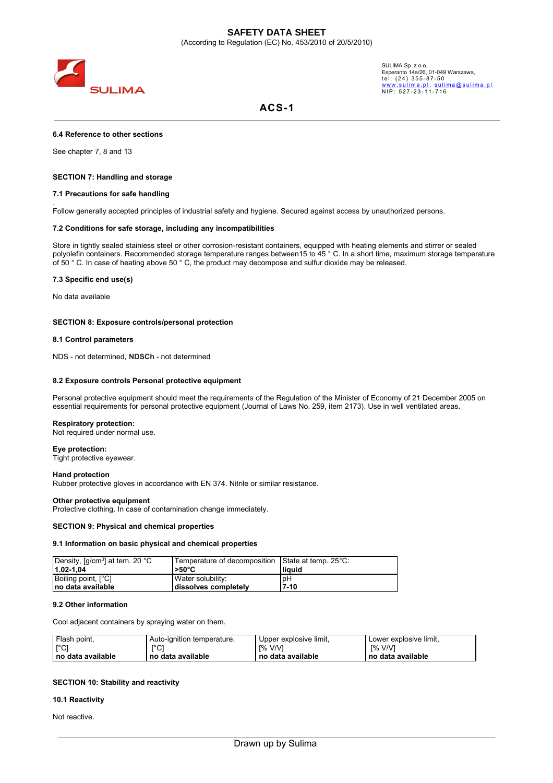

SULIMA Sp. z o.o. Esperanto 14a/26, 01-049 Warszawa,<br>tel: (24) 355-87-50 <u>www.sulima.pl, sulima@sulima.pl</u><br>NIP: 527-23-11-716

# **ACS-1**

## **6.4 Reference to other sections**

See chapter 7, 8 and 13

.

## **SECTION 7: Handling and storage**

#### **7.1 Precautions for safe handling**

Follow generally accepted principles of industrial safety and hygiene. Secured against access by unauthorized persons.

# **7.2 Conditions for safe storage, including any incompatibilities**

Store in tightly sealed stainless steel or other corrosion-resistant containers, equipped with heating elements and stirrer or sealed polyolefin containers. Recommended storage temperature ranges between15 to 45 ° C. In a short time, maximum storage temperature of 50 ° C. In case of heating above 50 ° C, the product may decompose and sulfur dioxide may be released.

### **7.3 Specific end use(s)**

No data available

### **SECTION 8: Exposure controls/personal protection**

### **8.1 Control parameters**

NDS - not determined, **NDSCh** - not determined

### **8.2 Exposure controls Personal protective equipment**

Personal protective equipment should meet the requirements of the Regulation of the Minister of Economy of 21 December 2005 on essential requirements for personal protective equipment (Journal of Laws No. 259, item 2173). Use in well ventilated areas.

#### **Respiratory protection:**

Not required under normal use.

#### **Eye protection:**

Tight protective eyewear.

#### **Hand protection**

Rubber protective gloves in accordance with EN 374. Nitrile or similar resistance.

#### **Other protective equipment**

Protective clothing. In case of contamination change immediately.

#### **SECTION 9: Physical and chemical properties**

## **9.1 Information on basic physical and chemical properties**

| Density, [g/cm <sup>3</sup> ] at tem. 20 °C | Temperature of decomposition State at temp. 25°C: |          |
|---------------------------------------------|---------------------------------------------------|----------|
| $11.02 - 1.04$                              | l>50°C                                            | l liauid |
| Boiling point, [°C]                         | Water solubility:                                 | pH       |
| Ino data available                          | dissolves completely                              | 17-10    |

# **9.2 Other information**

Cool adjacent containers by spraying water on them.

| Flash point,        | Auto-ignition temperature, | Upper explosive limit, | Lower explosive limit, |
|---------------------|----------------------------|------------------------|------------------------|
| [°C]                | l.C.                       | - 1% V/V1              | $I\%$ V/V1             |
| l no data available | no data available          | l no data available    | ∣ no data available    |

## **SECTION 10: Stability and reactivity**

### **10.1 Reactivity**

Not reactive.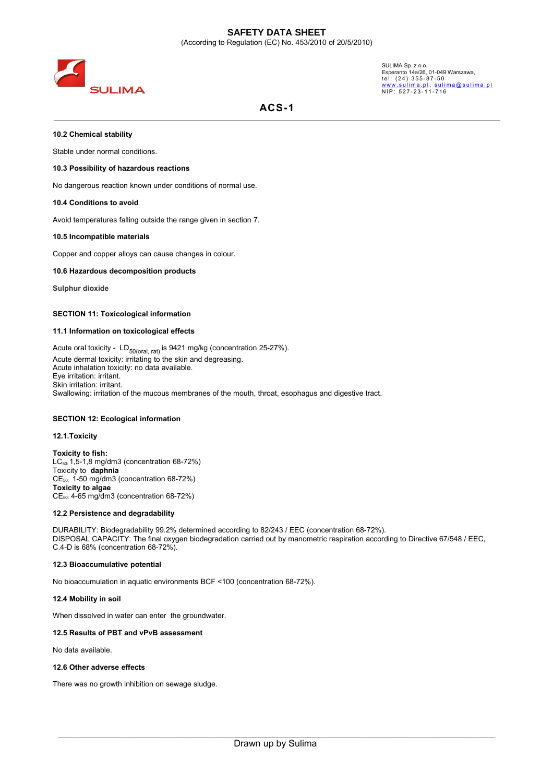

SULIMA Sp. z o.o. Esperanto 14a/26, 01-049 Warszawa,<br>tel: (24) 355-87-50 <u>www.sulima.pl, sulima@sulima.pl</u><br>NIP: 527-23-11-716

# **ACS-1**

## **10.2 Chemical stability**

Stable under normal conditions.

# **10.3 Possibility of hazardous reactions**

No dangerous reaction known under conditions of normal use.

## **10.4 Conditions to avoid**

Avoid temperatures falling outside the range given in section 7.

## **10.5 Incompatible materials**

Copper and copper alloys can cause changes in colour.

# **10.6 Hazardous decomposition products**

**Sulphur dioxide**

# **SECTION 11: Toxicological information**

# **11.1 Information on toxicological effects**

Acute oral toxicity -  $LD_{50(oral, rat)}$  is 9421 mg/kg (concentration 25-27%). Acute dermal toxicity: irritating to the skin and degreasing. Acute inhalation toxicity: no data available. Eye irritation: irritant. Skin irritation: irritant. Swallowing: irritation of the mucous membranes of the mouth, throat, esophagus and digestive tract.

# **SECTION 12: Ecological information**

# **12.1.Toxicity**

**Toxicity to fish:** LC50: 1,5-1,8 mg/dm3 (concentration 68-72%) Toxicity to **daphnia** CE50: 1-50 mg/dm3 (concentration 68-72%) **Toxicity to algae** CE50: 4-65 mg/dm3 (concentration 68-72%)

## **12.2 Persistence and degradability**

DURABILITY: Biodegradability 99.2% determined according to 82/243 / EEC (concentration 68-72%). DISPOSAL CAPACITY: The final oxygen biodegradation carried out by manometric respiration according to Directive 67/548 / EEC, C.4-D is 68% (concentration 68-72%).

# **12.3 Bioaccumulative potential**

No bioaccumulation in aquatic environments BCF <100 (concentration 68-72%).

## **12.4 Mobility in soil**

When dissolved in water can enter the groundwater.

## **12.5 Results of PBT and vPvB assessment**

No data available.

# **12.6 Other adverse effects**

There was no growth inhibition on sewage sludge.